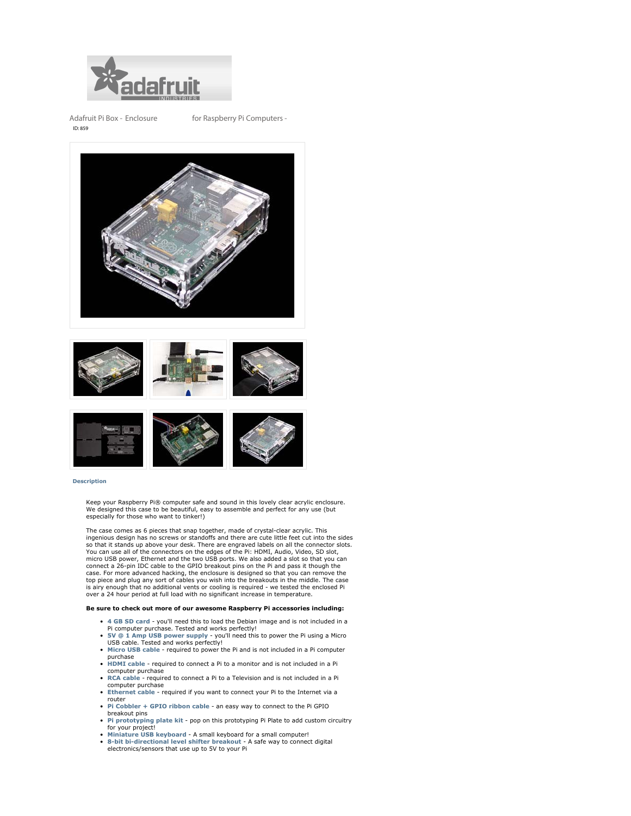

**Adafruit Pi Box - Enclosure for Raspberry Pi Computers -** ID: 859







## **Description**

Keep your Raspberry Pi® computer safe and sound in this lovely clear acrylic enclosure. We designed this case to be beautiful, easy to assemble and perfect for any use (but especially for those who want to tinker!)

The case comes as 6 pieces that snap together, made of crystal-clear acrylic. This ingenious design has no screws or standoffs and there are cute little feet cut into the sides so that it stands up above your desk. There are engraved labels on all the connector slots. You can use all of the connectors on the edges of the Pi: HDMI, Audio, Video, SD slot, micro USB power, Ethernet and the two USB ports. We also added a slot so that you can connect a 26-pin IDC cable to the GPIO breakout pins on the Pi and pass it though the case. For more advanced hacking, the enclosure is designed so that you can remove the top piece and plug any sort of cables you wish into the breakouts in the middle. The case is airy enough that no additional vents or cooling is required - we tested the enclosed Pi over a 24 hour period at full load with no significant increase in temperature.

## **Be sure to check out more of our awesome Raspberry Pi accessories including:**

- **4 GB SD card** you'll need this to load the Debian image and is not included in a Pi computer purchase. Tested and works perfectly!
- **5V @ 1 Amp USB power supply** you'll need this to power the Pi using a Micro USB cable. Tested and works perfectly!
- **Micro USB cable** required to power the Pi and is not included in a Pi computer
- purchase **HDMI cable** required to connect a Pi to a monitor and is not included in a Pi
- computer purchase **RCA cable** required to connect a Pi to a Television and is not included in a Pi computer purchase
- **Ethernet cable** required if you want to connect your Pi to the Internet via a router
- **Pi Cobbler + GPIO ribbon cable** an easy way to connect to the Pi GPIO breakout pins
- **Pi prototyping plate kit** pop on this prototyping Pi Plate to add custom circuitry for your project!
- **Miniature USB keyboard** A small keyboard for a small computer!
- **8-bit bi-directional level shifter breakout** A safe way to connect digital electronics/sensors that use up to 5V to your Pi